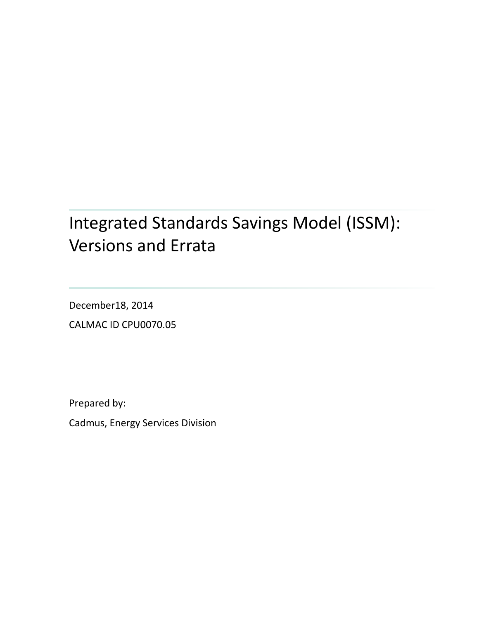# Integrated Standards Savings Model (ISSM): Versions and Errata

December18, 2014 CALMAC ID CPU0070.05

Prepared by:

Cadmus, Energy Services Division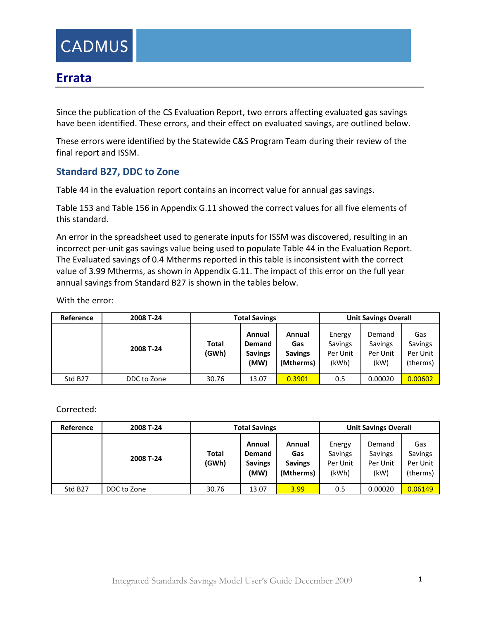

## **Errata**

Since the publication of the CS Evaluation Report, two errors affecting evaluated gas savings have been identified. These errors, and their effect on evaluated savings, are outlined below.

These errors were identified by the Statewide C&S Program Team during their review of the final report and ISSM.

#### **Standard B27, DDC to Zone**

Table 44 in the evaluation report contains an incorrect value for annual gas savings.

Table 153 and Table 156 in Appendix G.11 showed the correct values for all five elements of this standard.

An error in the spreadsheet used to generate inputs for ISSM was discovered, resulting in an incorrect per-unit gas savings value being used to populate Table 44 in the Evaluation Report. The Evaluated savings of 0.4 Mtherms reported in this table is inconsistent with the correct value of 3.99 Mtherms, as shown in Appendix G.11. The impact of this error on the full year annual savings from Standard B27 is shown in the tables below.

With the error:

| Reference           | 2008 T-24   |                | <b>Total Savings</b>                       |                                              | <b>Unit Savings Overall</b>            |                                       |                                        |  |
|---------------------|-------------|----------------|--------------------------------------------|----------------------------------------------|----------------------------------------|---------------------------------------|----------------------------------------|--|
|                     | 2008 T-24   | Total<br>(GWh) | Annual<br>Demand<br><b>Savings</b><br>(MW) | Annual<br>Gas<br><b>Savings</b><br>(Mtherms) | Energy<br>Savings<br>Per Unit<br>(kWh) | Demand<br>Savings<br>Per Unit<br>(kW) | Gas<br>Savings<br>Per Unit<br>(therms) |  |
| Std B <sub>27</sub> | DDC to Zone | 30.76          | 13.07                                      | 0.3901                                       | 0.5                                    | 0.00020                               | 0.00602                                |  |

Corrected:

| Reference           | 2008 T-24   |                | <b>Total Savings</b>                              |                                              | <b>Unit Savings Overall</b>            |                                       |                                        |  |
|---------------------|-------------|----------------|---------------------------------------------------|----------------------------------------------|----------------------------------------|---------------------------------------|----------------------------------------|--|
|                     | 2008 T-24   | Total<br>(GWh) | Annual<br><b>Demand</b><br><b>Savings</b><br>(MW) | Annual<br>Gas<br><b>Savings</b><br>(Mtherms) | Energy<br>Savings<br>Per Unit<br>(kWh) | Demand<br>Savings<br>Per Unit<br>(kW) | Gas<br>Savings<br>Per Unit<br>(therms) |  |
| Std B <sub>27</sub> | DDC to Zone | 30.76          | 13.07                                             | 3.99                                         | 0.5                                    | 0.00020                               | 0.06149                                |  |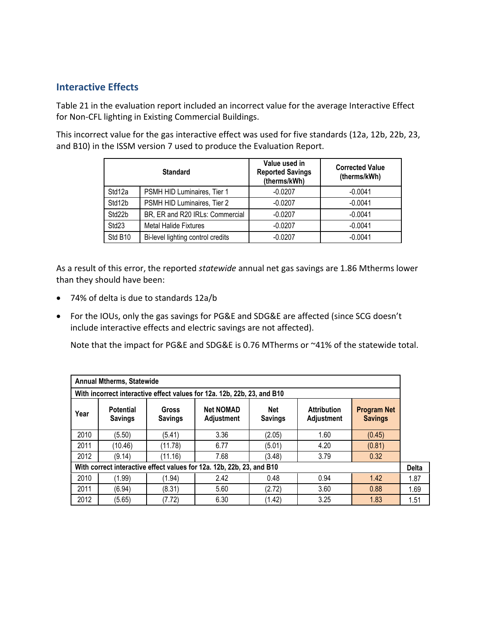### **Interactive Effects**

Table 21 in the evaluation report included an incorrect value for the average Interactive Effect for Non-CFL lighting in Existing Commercial Buildings.

This incorrect value for the gas interactive effect was used for five standards (12a, 12b, 22b, 23, and B10) in the ISSM version 7 used to produce the Evaluation Report.

|                   | <b>Standard</b>                   | Value used in<br><b>Reported Savings</b><br>(therms/kWh) | <b>Corrected Value</b><br>(therms/kWh) |
|-------------------|-----------------------------------|----------------------------------------------------------|----------------------------------------|
| Std12a            | PSMH HID Luminaires, Tier 1       | $-0.0207$                                                | $-0.0041$                              |
| Std12b            | PSMH HID Luminaires, Tier 2       | $-0.0207$                                                | $-0.0041$                              |
| Std22b            | BR, ER and R20 IRLs: Commercial   | $-0.0207$                                                | $-0.0041$                              |
| Std <sub>23</sub> | <b>Metal Halide Fixtures</b>      | $-0.0207$                                                | $-0.0041$                              |
| Std B10           | Bi-level lighting control credits | $-0.0207$                                                | $-0.0041$                              |

As a result of this error, the reported *statewide* annual net gas savings are 1.86 Mtherms lower than they should have been:

- 74% of delta is due to standards 12a/b
- For the IOUs, only the gas savings for PG&E and SDG&E are affected (since SCG doesn't include interactive effects and electric savings are not affected).

Note that the impact for PG&E and SDG&E is 0.76 MTherms or ~41% of the statewide total.

| <b>Annual Mtherms, Statewide</b>                                        |                                                                                                                                                                     |         |                                      |        |      |        |      |  |  |
|-------------------------------------------------------------------------|---------------------------------------------------------------------------------------------------------------------------------------------------------------------|---------|--------------------------------------|--------|------|--------|------|--|--|
| With incorrect interactive effect values for 12a. 12b, 22b, 23, and B10 |                                                                                                                                                                     |         |                                      |        |      |        |      |  |  |
| Year                                                                    | <b>Net NOMAD</b><br><b>Net</b><br><b>Attribution</b><br><b>Potential</b><br>Gross<br>Adjustment<br><b>Savings</b><br>Adjustment<br><b>Savings</b><br><b>Savings</b> |         | <b>Program Net</b><br><b>Savings</b> |        |      |        |      |  |  |
| 2010                                                                    | (5.50)                                                                                                                                                              | (5.41)  | 3.36                                 | (2.05) | 1.60 | (0.45) |      |  |  |
| 2011                                                                    | (10.46)                                                                                                                                                             | (11.78) | 6.77                                 | (5.01) | 4.20 | (0.81) |      |  |  |
| 2012                                                                    | (9.14)                                                                                                                                                              | (11.16) | 7.68                                 | (3.48) | 3.79 | 0.32   |      |  |  |
| With correct interactive effect values for 12a. 12b, 22b, 23, and B10   |                                                                                                                                                                     |         |                                      |        |      |        |      |  |  |
| 2010                                                                    | (1.99)                                                                                                                                                              | (1.94)  | 2.42                                 | 0.48   | 0.94 | 1.42   | 1.87 |  |  |
| 2011                                                                    | (6.94)                                                                                                                                                              | (8.31)  | 5.60                                 | (2.72) | 3.60 | 0.88   | 1.69 |  |  |
| 2012                                                                    | (5.65)                                                                                                                                                              | (7.72)  | 6.30                                 | (1.42) | 3.25 | 1.83   | 1.51 |  |  |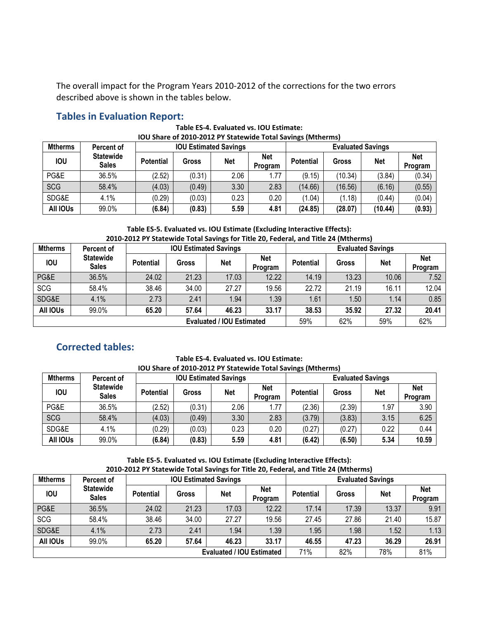The overall impact for the Program Years 2010-2012 of the corrections for the two errors described above is shown in the tables below.

#### **Tables in Evaluation Report:**

**Table ES-4. Evaluated vs. IOU Estimate: IOU Share of 2010-2012 PY Statewide Total Savings (Mtherms)**

| <b>Mtherms</b> | Percent of                       |                  | <b>IOU Estimated Savings</b> |      |                              |                  | <b>Evaluated Savings</b> |            |                       |  |
|----------------|----------------------------------|------------------|------------------------------|------|------------------------------|------------------|--------------------------|------------|-----------------------|--|
| <b>IOU</b>     | <b>Statewide</b><br><b>Sales</b> | <b>Potential</b> | <b>Gross</b>                 | Net  | <b>Net</b><br><b>Program</b> | <b>Potential</b> | Gross                    | <b>Net</b> | <b>Net</b><br>Program |  |
| PG&E           | 36.5%                            | (2.52)           | (0.31)                       | 2.06 | 1.77                         | (9.15)           | (10.34)                  | (3.84)     | (0.34)                |  |
| <b>SCG</b>     | 58.4%                            | (4.03)           | (0.49)                       | 3.30 | 2.83                         | (14.66)          | (16.56)                  | (6.16)     | (0.55)                |  |
| SDG&E          | 4.1%                             | (0.29)           | (0.03)                       | 0.23 | 0.20                         | (1.04)           | (1.18)                   | (0.44)     | (0.04)                |  |
| All IOUs       | 99.0%                            | (6.84)           | (0.83)                       | 5.59 | 4.81                         | (24.85)          | (28.07)                  | (10.44)    | (0.93)                |  |

**Table ES-5. Evaluated vs. IOU Estimate (Excluding Interactive Effects): 2010-2012 PY Statewide Total Savings for Title 20, Federal, and Title 24 (Mtherms)**

| <b>Mtherms</b>                   | Percent of                       |                  | <b>IOU Estimated Savings</b> |            |                              |                  | <b>Evaluated Savings</b> |            |                |  |
|----------------------------------|----------------------------------|------------------|------------------------------|------------|------------------------------|------------------|--------------------------|------------|----------------|--|
| <b>IOU</b>                       | <b>Statewide</b><br><b>Sales</b> | <b>Potential</b> | <b>Gross</b>                 | <b>Net</b> | <b>Net</b><br><b>Program</b> | <b>Potential</b> | <b>Gross</b>             | <b>Net</b> | Net<br>Program |  |
| PG&E                             | 36.5%                            | 24.02            | 21.23                        | 17.03      | 12.22                        | 14.19            | 13.23                    | 10.06      | 7.52           |  |
| SCG                              | 58.4%                            | 38.46            | 34.00                        | 27.27      | 19.56                        | 22.72            | 21.19                    | 16.11      | 12.04          |  |
| SDG&E                            | 4.1%                             | 2.73             | 2.41                         | 1.94       | 1.39                         | 1.61             | 1.50                     | 1.14       | 0.85           |  |
| All IOUs                         | 99.0%                            | 65.20            | 57.64                        | 46.23      | 33.17                        | 38.53            | 35.92                    | 27.32      | 20.41          |  |
| <b>Evaluated / IOU Estimated</b> |                                  |                  |                              |            |                              | 59%              | 62%                      | 59%        | 62%            |  |

## **Corrected tables:**

**Table ES-4. Evaluated vs. IOU Estimate: IOU Share of 2010-2012 PY Statewide Total Savings (Mtherms)**

| <b>Mtherms</b> | Percent of                       |                  | <b>IOU Estimated Savings</b> |            |                       |                 | <b>Evaluated Savings</b> |            |                       |  |
|----------------|----------------------------------|------------------|------------------------------|------------|-----------------------|-----------------|--------------------------|------------|-----------------------|--|
| <b>IOU</b>     | <b>Statewide</b><br><b>Sales</b> | <b>Potential</b> | <b>Gross</b>                 | <b>Net</b> | <b>Net</b><br>Program | <b>Potentia</b> | <b>Gross</b>             | <b>Net</b> | <b>Net</b><br>Program |  |
| PG&E           | 36.5%                            | (2.52)           | (0.31)                       | 2.06       | 1.77                  | (2.36)          | (2.39)                   | 1.97       | 3.90                  |  |
| <b>SCG</b>     | 58.4%                            | (4.03)           | (0.49)                       | 3.30       | 2.83                  | (3.79)          | (3.83)                   | 3.15       | 6.25                  |  |
| SDG&E          | 4.1%                             | (0.29)           | (0.03)                       | 0.23       | 0.20                  | (0.27)          | (0.27)                   | 0.22       | 0.44                  |  |
| All IOUs       | 99.0%                            | (6.84)           | (0.83)                       | 5.59       | 4.81                  | (6.42)          | (6.50)                   | 5.34       | 10.59                 |  |

**Table ES-5. Evaluated vs. IOU Estimate (Excluding Interactive Effects): 2010-2012 PY Statewide Total Savings for Title 20, Federal, and Title 24 (Mtherms)**

| <b>Mtherms</b>                   | Percent of                       | <b>IOU Estimated Savings</b> |       |            |                       | <b>Evaluated Savings</b> |              |            |                       |
|----------------------------------|----------------------------------|------------------------------|-------|------------|-----------------------|--------------------------|--------------|------------|-----------------------|
| <b>IOU</b>                       | <b>Statewide</b><br><b>Sales</b> | <b>Potential</b>             | Gross | <b>Net</b> | <b>Net</b><br>Program | <b>Potential</b>         | <b>Gross</b> | <b>Net</b> | <b>Net</b><br>Program |
| PG&E                             | 36.5%                            | 24.02                        | 21.23 | 17.03      | 12.22                 | 17.14                    | 17.39        | 13.37      | 9.91                  |
| <b>SCG</b>                       | 58.4%                            | 38.46                        | 34.00 | 27.27      | 19.56                 | 27.45                    | 27.86        | 21.40      | 15.87                 |
| SDG&E                            | 4.1%                             | 2.73                         | 2.41  | 1.94       | 1.39                  | 1.95                     | 1.98         | 1.52       | 1.13                  |
| All IOUs                         | 99.0%                            | 65.20                        | 57.64 | 46.23      | 33.17                 | 46.55                    | 47.23        | 36.29      | 26.91                 |
| <b>Evaluated / IOU Estimated</b> |                                  |                              |       |            |                       | 71%                      | 82%          | 78%        | 81%                   |